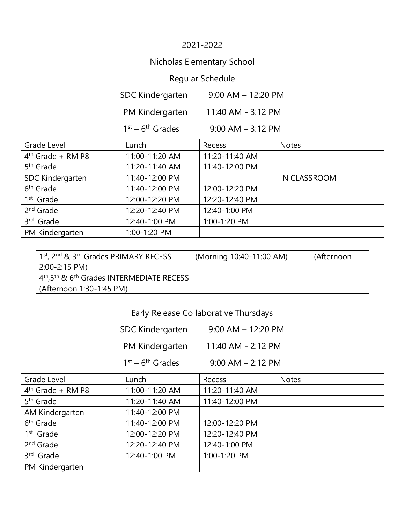### 2021-2022

# Nicholas Elementary School

# Regular Schedule

| <b>SDC Kindergarten</b> | $9:00$ AM $-$ 12:20 PM |
|-------------------------|------------------------|
| PM Kindergarten         | 11:40 AM - 3:12 PM     |
| $1st - 6th$ Grades      | $9:00$ AM $-$ 3:12 PM  |

| Grade Level           | Lunch          | Recess         | <b>Notes</b>        |
|-----------------------|----------------|----------------|---------------------|
| $4th$ Grade + RM P8   | 11:00-11:20 AM | 11:20-11:40 AM |                     |
| 5 <sup>th</sup> Grade | 11:20-11:40 AM | 11:40-12:00 PM |                     |
| SDC Kindergarten      | 11:40-12:00 PM |                | <b>IN CLASSROOM</b> |
| 6 <sup>th</sup> Grade | 11:40-12:00 PM | 12:00-12:20 PM |                     |
| 1 <sup>st</sup> Grade | 12:00-12:20 PM | 12:20-12:40 PM |                     |
| 2 <sup>nd</sup> Grade | 12:20-12:40 PM | 12:40-1:00 PM  |                     |
| 3rd Grade             | 12:40-1:00 PM  | 1:00-1:20 PM   |                     |
| PM Kindergarten       | 1:00-1:20 PM   |                |                     |

| 1st, 2nd & 3rd Grades PRIMARY RECESS                                | (Morning 10:40-11:00 AM) | (Afternoon |
|---------------------------------------------------------------------|--------------------------|------------|
| 2:00-2:15 PM)                                                       |                          |            |
| $4th$ ,5 <sup>th</sup> & 6 <sup>th</sup> Grades INTERMEDIATE RECESS |                          |            |
| (Afternoon 1:30-1:45 PM)                                            |                          |            |

# Early Release Collaborative Thursdays

| SDC Kindergarten | $9:00$ AM $-$ 12:20 PM |
|------------------|------------------------|
|------------------|------------------------|

PM Kindergarten 11:40 AM - 2:12 PM

 $1<sup>st</sup> - 6$ 

 $9:00$  AM – 2:12 PM

| Grade Level           | Lunch          | Recess         | <b>Notes</b> |
|-----------------------|----------------|----------------|--------------|
| $4th$ Grade + RM P8   | 11:00-11:20 AM | 11:20-11:40 AM |              |
| 5 <sup>th</sup> Grade | 11:20-11:40 AM | 11:40-12:00 PM |              |
| AM Kindergarten       | 11:40-12:00 PM |                |              |
| 6 <sup>th</sup> Grade | 11:40-12:00 PM | 12:00-12:20 PM |              |
| $1st$ Grade           | 12:00-12:20 PM | 12:20-12:40 PM |              |
| 2 <sup>nd</sup> Grade | 12:20-12:40 PM | 12:40-1:00 PM  |              |
| 3rd Grade             | 12:40-1:00 PM  | 1:00-1:20 PM   |              |
| PM Kindergarten       |                |                |              |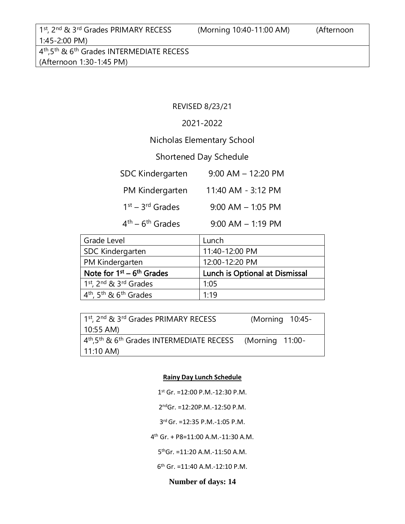(Afternoon 1:30-1:45 PM)

#### REVISED 8/23/21

#### 2021-2022

### Nicholas Elementary School

### Shortened Day Schedule

| <b>SDC Kindergarten</b> | $9:00$ AM $-$ 12:20 PM |
|-------------------------|------------------------|
| PM Kindergarten         | 11:40 AM - 3:12 PM     |
| $1st - 3rd$ Grades      | $9:00$ AM $-$ 1:05 PM  |
| $4th - 6th$ Grades      | $9:00$ AM $-$ 1:19 PM  |

| Grade Level                                                | Lunch                          |
|------------------------------------------------------------|--------------------------------|
| SDC Kindergarten                                           | 11:40-12:00 PM                 |
| PM Kindergarten                                            | 12:00-12:20 PM                 |
| Note for $1^{st}$ – $6^{th}$ Grades                        | Lunch is Optional at Dismissal |
| 1 <sup>st</sup> , 2 <sup>nd</sup> & 3 <sup>rd</sup> Grades | 1:05                           |
| 4 <sup>th</sup> , 5 <sup>th</sup> & 6 <sup>th</sup> Grades | 1:19                           |

| 1 <sup>st</sup> , 2 <sup>nd</sup> & 3 <sup>rd</sup> Grades PRIMARY RECESS | (Morning 10:45- |
|---------------------------------------------------------------------------|-----------------|
| 10:55 AM)                                                                 |                 |
| $4th,5th$ & 6 <sup>th</sup> Grades INTERMEDIATE RECESS (Morning 11:00-    |                 |
| 11:10 AM)                                                                 |                 |

#### **Rainy Day Lunch Schedule**

- 1 st Gr. =12:00 P.M.-12:30 P.M.
- 2 ndGr. =12:20P.M.-12:50 P.M.
- 3 rd Gr. =12:35 P.M.-1:05 P.M.
- 4 th Gr. + P8=11:00 A.M.-11:30 A.M.
	- 5 thGr. =11:20 A.M.-11:50 A.M.
	- 6 th Gr. =11:40 A.M.-12:10 P.M.

#### **Number of days: 14**